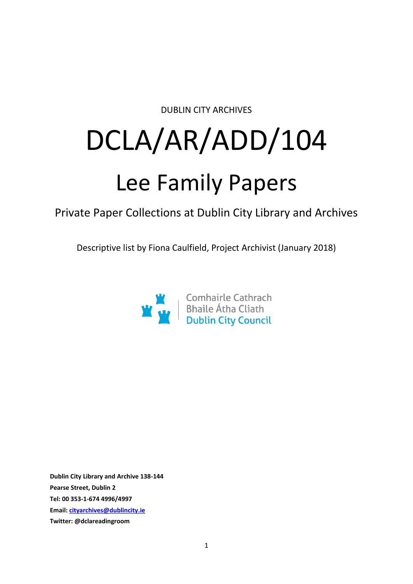DUBLIN CITY ARCHIVES

# DCLA/AR/ADD/104

# Lee Family Papers

Private Paper Collections at Dublin City Library and Archives

Descriptive list by Fiona Caulfield, Project Archivist (January 2018)



**Dublin City Library and Archive 138-144 Pearse Street, Dublin 2 Tel: 00 353-1-674 4996/4997 Email: [cityarchives@dublincity.ie](mailto:cityarchives@dublincity.ie) Twitter: @dclareadingroom**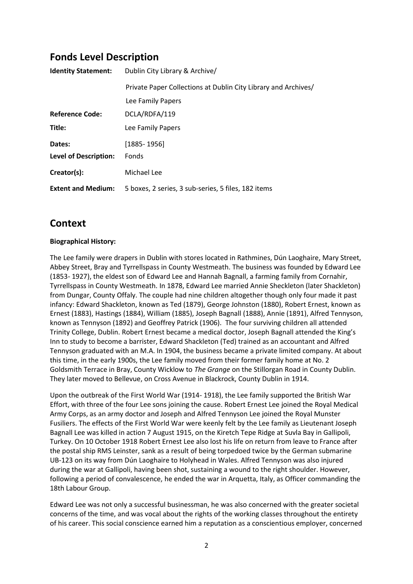# **Fonds Level Description**

| <b>Identity Statement:</b>   | Dublin City Library & Archive/                                 |
|------------------------------|----------------------------------------------------------------|
|                              | Private Paper Collections at Dublin City Library and Archives/ |
|                              | Lee Family Papers                                              |
| <b>Reference Code:</b>       | DCLA/RDFA/119                                                  |
| Title:                       | Lee Family Papers                                              |
| Dates:                       | $[1885 - 1956]$                                                |
| <b>Level of Description:</b> | Fonds                                                          |
| Creator(s):                  | Michael Lee                                                    |
| <b>Extent and Medium:</b>    | 5 boxes, 2 series, 3 sub-series, 5 files, 182 items            |

## **Context**

#### **Biographical History:**

The Lee family were drapers in Dublin with stores located in Rathmines, Dún Laoghaire, Mary Street, Abbey Street, Bray and Tyrrellspass in County Westmeath. The business was founded by Edward Lee (1853- 1927), the eldest son of Edward Lee and Hannah Bagnall, a farming family from Cornahir, Tyrrellspass in County Westmeath. In 1878, Edward Lee married Annie Sheckleton (later Shackleton) from Dungar, County Offaly. The couple had nine children altogether though only four made it past infancy: Edward Shackleton, known as Ted (1879), George Johnston (1880), Robert Ernest, known as Ernest (1883), Hastings (1884), William (1885), Joseph Bagnall (1888), Annie (1891), Alfred Tennyson, known as Tennyson (1892) and Geoffrey Patrick (1906). The four surviving children all attended Trinity College, Dublin. Robert Ernest became a medical doctor, Joseph Bagnall attended the King's Inn to study to become a barrister, Edward Shackleton (Ted) trained as an accountant and Alfred Tennyson graduated with an M.A. In 1904, the business became a private limited company. At about this time, in the early 1900s, the Lee family moved from their former family home at No. 2 Goldsmith Terrace in Bray, County Wicklow to *The Grange* on the Stillorgan Road in County Dublin. They later moved to Bellevue, on Cross Avenue in Blackrock, County Dublin in 1914.

Upon the outbreak of the First World War (1914- 1918), the Lee family supported the British War Effort, with three of the four Lee sons joining the cause. Robert Ernest Lee joined the Royal Medical Army Corps, as an army doctor and Joseph and Alfred Tennyson Lee joined the Royal Munster Fusiliers. The effects of the First World War were keenly felt by the Lee family as Lieutenant Joseph Bagnall Lee was killed in action 7 August 1915, on the Kiretch Tepe Ridge at Suvla Bay in Gallipoli, Turkey. On 10 October 1918 Robert Ernest Lee also lost his life on return from leave to France after the postal ship RMS Leinster, sank as a result of being torpedoed twice by the German submarine UB-123 on its way from Dún Laoghaire to Holyhead in Wales. Alfred Tennyson was also injured during the war at Gallipoli, having been shot, sustaining a wound to the right shoulder. However, following a period of convalescence, he ended the war in Arquetta, Italy, as Officer commanding the 18th Labour Group.

Edward Lee was not only a successful businessman, he was also concerned with the greater societal concerns of the time, and was vocal about the rights of the working classes throughout the entirety of his career. This social conscience earned him a reputation as a conscientious employer, concerned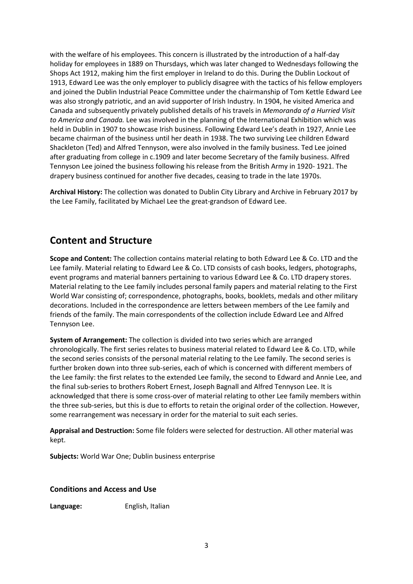with the welfare of his employees. This concern is illustrated by the introduction of a half-day holiday for employees in 1889 on Thursdays, which was later changed to Wednesdays following the Shops Act 1912, making him the first employer in Ireland to do this. During the Dublin Lockout of 1913, Edward Lee was the only employer to publicly disagree with the tactics of his fellow employers and joined the Dublin Industrial Peace Committee under the chairmanship of Tom Kettle Edward Lee was also strongly patriotic, and an avid supporter of Irish Industry. In 1904, he visited America and Canada and subsequently privately published details of his travels in *Memoranda of a Hurried Visit to America and Canada.* Lee was involved in the planning of the International Exhibition which was held in Dublin in 1907 to showcase Irish business. Following Edward Lee's death in 1927, Annie Lee became chairman of the business until her death in 1938. The two surviving Lee children Edward Shackleton (Ted) and Alfred Tennyson, were also involved in the family business. Ted Lee joined after graduating from college in c.1909 and later become Secretary of the family business. Alfred Tennyson Lee joined the business following his release from the British Army in 1920- 1921. The drapery business continued for another five decades, ceasing to trade in the late 1970s.

**Archival History:** The collection was donated to Dublin City Library and Archive in February 2017 by the Lee Family, facilitated by Michael Lee the great-grandson of Edward Lee.

## **Content and Structure**

**Scope and Content:** The collection contains material relating to both Edward Lee & Co. LTD and the Lee family. Material relating to Edward Lee & Co. LTD consists of cash books, ledgers, photographs, event programs and material banners pertaining to various Edward Lee & Co. LTD drapery stores. Material relating to the Lee family includes personal family papers and material relating to the First World War consisting of; correspondence, photographs, books, booklets, medals and other military decorations. Included in the correspondence are letters between members of the Lee family and friends of the family. The main correspondents of the collection include Edward Lee and Alfred Tennyson Lee.

**System of Arrangement:** The collection is divided into two series which are arranged chronologically. The first series relates to business material related to Edward Lee & Co. LTD, while the second series consists of the personal material relating to the Lee family. The second series is further broken down into three sub-series, each of which is concerned with different members of the Lee family: the first relates to the extended Lee family, the second to Edward and Annie Lee, and the final sub-series to brothers Robert Ernest, Joseph Bagnall and Alfred Tennyson Lee. It is acknowledged that there is some cross-over of material relating to other Lee family members within the three sub-series, but this is due to efforts to retain the original order of the collection. However, some rearrangement was necessary in order for the material to suit each series.

**Appraisal and Destruction:** Some file folders were selected for destruction. All other material was kept.

**Subjects:** World War One; Dublin business enterprise

**Conditions and Access and Use**

**Language:** English, Italian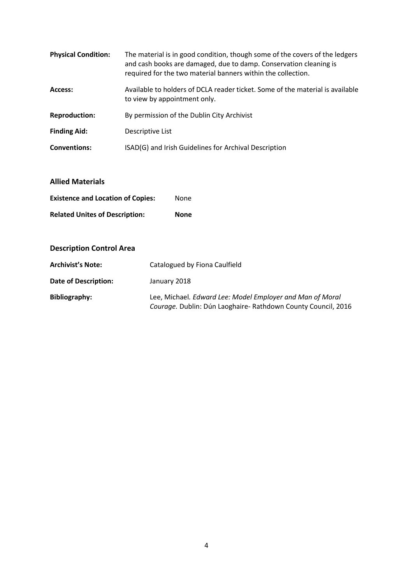| <b>Physical Condition:</b> | The material is in good condition, though some of the covers of the ledgers<br>and cash books are damaged, due to damp. Conservation cleaning is<br>required for the two material banners within the collection. |
|----------------------------|------------------------------------------------------------------------------------------------------------------------------------------------------------------------------------------------------------------|
| Access:                    | Available to holders of DCLA reader ticket. Some of the material is available<br>to view by appointment only.                                                                                                    |
| <b>Reproduction:</b>       | By permission of the Dublin City Archivist                                                                                                                                                                       |
| <b>Finding Aid:</b>        | Descriptive List                                                                                                                                                                                                 |
| <b>Conventions:</b>        | ISAD(G) and Irish Guidelines for Archival Description                                                                                                                                                            |

#### **Allied Materials**

| <b>Existence and Location of Copies:</b> | None |
|------------------------------------------|------|
| <b>Related Unites of Description:</b>    | None |

#### **Description Control Area**

| <b>Archivist's Note:</b> | Catalogued by Fiona Caulfield                                                                                              |
|--------------------------|----------------------------------------------------------------------------------------------------------------------------|
| Date of Description:     | January 2018                                                                                                               |
| Bibliography:            | Lee, Michael. Edward Lee: Model Employer and Man of Moral<br>Courage. Dublin: Dún Laoghaire- Rathdown County Council, 2016 |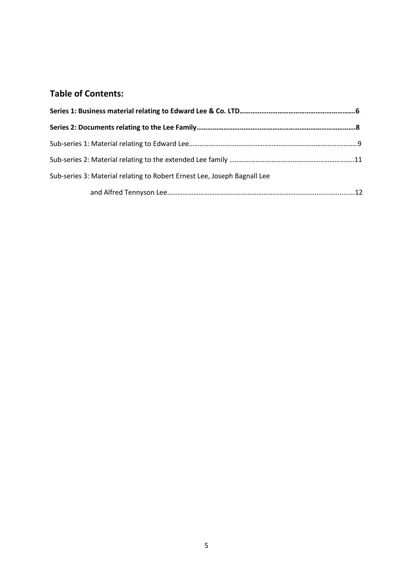# **Table of Contents:**

| Sub-series 3: Material relating to Robert Ernest Lee, Joseph Bagnall Lee |  |
|--------------------------------------------------------------------------|--|
|                                                                          |  |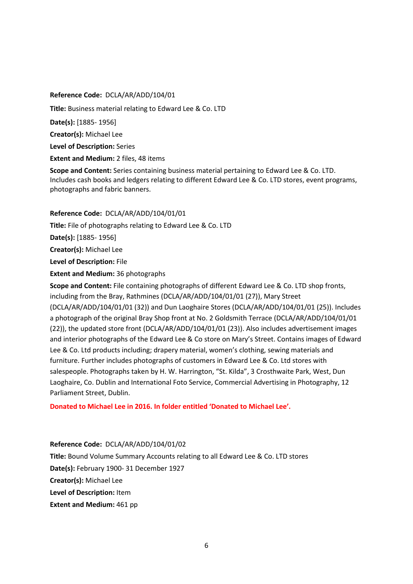**Reference Code:** DCLA/AR/ADD/104/01 **Title:** Business material relating to Edward Lee & Co. LTD **Date(s):** [1885- 1956] **Creator(s):** Michael Lee **Level of Description:** Series **Extent and Medium: 2 files, 48 items Scope and Content:** Series containing business material pertaining to Edward Lee & Co. LTD.

Includes cash books and ledgers relating to different Edward Lee & Co. LTD stores, event programs, photographs and fabric banners.

#### **Reference Code:** DCLA/AR/ADD/104/01/01

**Title:** File of photographs relating to Edward Lee & Co. LTD

**Date(s):** [1885- 1956]

**Creator(s):** Michael Lee

**Level of Description:** File

**Extent and Medium:** 36 photographs

**Scope and Content:** File containing photographs of different Edward Lee & Co. LTD shop fronts, including from the Bray, Rathmines (DCLA/AR/ADD/104/01/01 (27)), Mary Street (DCLA/AR/ADD/104/01/01 (32)) and Dun Laoghaire Stores (DCLA/AR/ADD/104/01/01 (25)). Includes a photograph of the original Bray Shop front at No. 2 Goldsmith Terrace (DCLA/AR/ADD/104/01/01 (22)), the updated store front (DCLA/AR/ADD/104/01/01 (23)). Also includes advertisement images and interior photographs of the Edward Lee & Co store on Mary's Street. Contains images of Edward Lee & Co. Ltd products including; drapery material, women's clothing, sewing materials and furniture. Further includes photographs of customers in Edward Lee & Co. Ltd stores with salespeople. Photographs taken by H. W. Harrington, "St. Kilda", 3 Crosthwaite Park, West, Dun Laoghaire, Co. Dublin and International Foto Service, Commercial Advertising in Photography, 12 Parliament Street, Dublin.

**Donated to Michael Lee in 2016. In folder entitled 'Donated to Michael Lee'.**

**Reference Code:** DCLA/AR/ADD/104/01/02

**Title:** Bound Volume Summary Accounts relating to all Edward Lee & Co. LTD stores **Date(s):** February 1900- 31 December 1927 **Creator(s):** Michael Lee **Level of Description:** Item **Extent and Medium:** 461 pp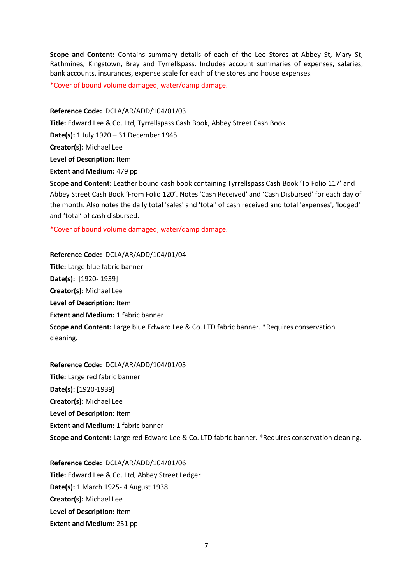**Scope and Content:** Contains summary details of each of the Lee Stores at Abbey St, Mary St, Rathmines, Kingstown, Bray and Tyrrellspass. Includes account summaries of expenses, salaries, bank accounts, insurances, expense scale for each of the stores and house expenses.

\*Cover of bound volume damaged, water/damp damage.

#### **Reference Code:** DCLA/AR/ADD/104/01/03

**Title:** Edward Lee & Co. Ltd, Tyrrellspass Cash Book, Abbey Street Cash Book **Date(s):** 1 July 1920 – 31 December 1945 **Creator(s):** Michael Lee **Level of Description:** Item **Extent and Medium:** 479 pp

**Scope and Content:** Leather bound cash book containing Tyrrellspass Cash Book 'To Folio 117' and Abbey Street Cash Book 'From Folio 120'. Notes 'Cash Received' and 'Cash Disbursed' for each day of the month. Also notes the daily total 'sales' and 'total' of cash received and total 'expenses', 'lodged' and 'total' of cash disbursed.

\*Cover of bound volume damaged, water/damp damage.

**Reference Code:** DCLA/AR/ADD/104/01/04 **Title:** Large blue fabric banner **Date(s):** [1920- 1939] **Creator(s):** Michael Lee **Level of Description:** Item **Extent and Medium: 1 fabric banner Scope and Content:** Large blue Edward Lee & Co. LTD fabric banner. \*Requires conservation cleaning.

**Reference Code:** DCLA/AR/ADD/104/01/05 **Title:** Large red fabric banner **Date(s):** [1920-1939] **Creator(s):** Michael Lee **Level of Description:** Item **Extent and Medium: 1 fabric banner Scope and Content:** Large red Edward Lee & Co. LTD fabric banner. \*Requires conservation cleaning.

**Reference Code:** DCLA/AR/ADD/104/01/06 **Title:** Edward Lee & Co. Ltd, Abbey Street Ledger **Date(s):** 1 March 1925- 4 August 1938 **Creator(s):** Michael Lee **Level of Description:** Item **Extent and Medium:** 251 pp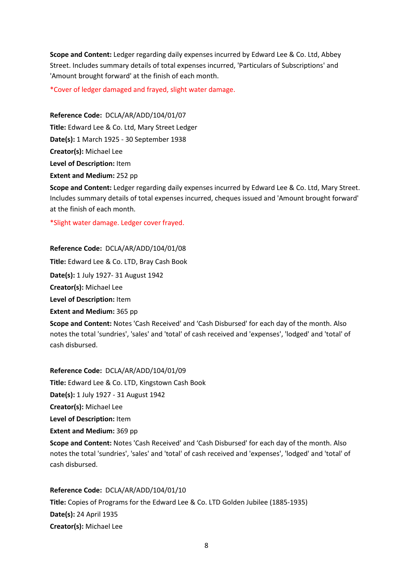**Scope and Content:** Ledger regarding daily expenses incurred by Edward Lee & Co. Ltd, Abbey Street. Includes summary details of total expenses incurred, 'Particulars of Subscriptions' and 'Amount brought forward' at the finish of each month.

\*Cover of ledger damaged and frayed, slight water damage.

**Reference Code:** DCLA/AR/ADD/104/01/07 **Title:** Edward Lee & Co. Ltd, Mary Street Ledger **Date(s):** 1 March 1925 - 30 September 1938 **Creator(s):** Michael Lee **Level of Description:** Item **Extent and Medium:** 252 pp

**Scope and Content:** Ledger regarding daily expenses incurred by Edward Lee & Co. Ltd, Mary Street. Includes summary details of total expenses incurred, cheques issued and 'Amount brought forward' at the finish of each month.

\*Slight water damage. Ledger cover frayed.

**Reference Code:** DCLA/AR/ADD/104/01/08

**Title:** Edward Lee & Co. LTD, Bray Cash Book

**Date(s):** 1 July 1927- 31 August 1942

**Creator(s):** Michael Lee

**Level of Description:** Item

**Extent and Medium:** 365 pp

**Scope and Content:** Notes 'Cash Received' and 'Cash Disbursed' for each day of the month. Also notes the total 'sundries', 'sales' and 'total' of cash received and 'expenses', 'lodged' and 'total' of cash disbursed.

**Reference Code:** DCLA/AR/ADD/104/01/09 **Title:** Edward Lee & Co. LTD, Kingstown Cash Book **Date(s):** 1 July 1927 - 31 August 1942 **Creator(s):** Michael Lee **Level of Description:** Item

**Extent and Medium:** 369 pp

**Scope and Content:** Notes 'Cash Received' and 'Cash Disbursed' for each day of the month. Also notes the total 'sundries', 'sales' and 'total' of cash received and 'expenses', 'lodged' and 'total' of cash disbursed.

**Reference Code:** DCLA/AR/ADD/104/01/10 **Title:** Copies of Programs for the Edward Lee & Co. LTD Golden Jubilee (1885-1935) **Date(s):** 24 April 1935 **Creator(s):** Michael Lee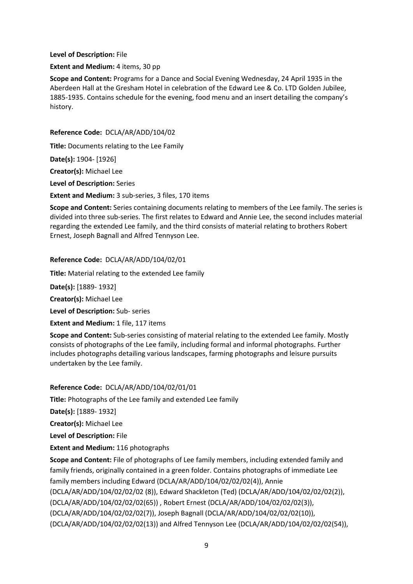#### **Level of Description:** File

#### **Extent and Medium:** 4 items, 30 pp

**Scope and Content:** Programs for a Dance and Social Evening Wednesday, 24 April 1935 in the Aberdeen Hall at the Gresham Hotel in celebration of the Edward Lee & Co. LTD Golden Jubilee, 1885-1935. Contains schedule for the evening, food menu and an insert detailing the company's history.

#### **Reference Code:** DCLA/AR/ADD/104/02

**Title:** Documents relating to the Lee Family

**Date(s):** 1904- [1926]

**Creator(s):** Michael Lee

**Level of Description:** Series

**Extent and Medium:** 3 sub-series, 3 files, 170 items

**Scope and Content:** Series containing documents relating to members of the Lee family. The series is divided into three sub-series. The first relates to Edward and Annie Lee, the second includes material regarding the extended Lee family, and the third consists of material relating to brothers Robert Ernest, Joseph Bagnall and Alfred Tennyson Lee.

#### **Reference Code:** DCLA/AR/ADD/104/02/01

**Title:** Material relating to the extended Lee family

**Date(s):** [1889- 1932]

**Creator(s):** Michael Lee

**Level of Description:** Sub- series

**Extent and Medium:** 1 file, 117 items

**Scope and Content:** Sub-series consisting of material relating to the extended Lee family. Mostly consists of photographs of the Lee family, including formal and informal photographs. Further includes photographs detailing various landscapes, farming photographs and leisure pursuits undertaken by the Lee family.

#### **Reference Code:** DCLA/AR/ADD/104/02/01/01

**Title:** Photographs of the Lee family and extended Lee family

**Date(s):** [1889- 1932]

**Creator(s):** Michael Lee

**Level of Description:** File

**Extent and Medium:** 116 photographs

**Scope and Content:** File of photographs of Lee family members, including extended family and family friends, originally contained in a green folder. Contains photographs of immediate Lee family members including Edward (DCLA/AR/ADD/104/02/02/02(4)), Annie (DCLA/AR/ADD/104/02/02/02 (8)), Edward Shackleton (Ted) (DCLA/AR/ADD/104/02/02/02(2)), (DCLA/AR/ADD/104/02/02/02(65)) , Robert Ernest (DCLA/AR/ADD/104/02/02/02(3)), (DCLA/AR/ADD/104/02/02/02(7)), Joseph Bagnall (DCLA/AR/ADD/104/02/02/02(10)), (DCLA/AR/ADD/104/02/02/02(13)) and Alfred Tennyson Lee (DCLA/AR/ADD/104/02/02/02(54)),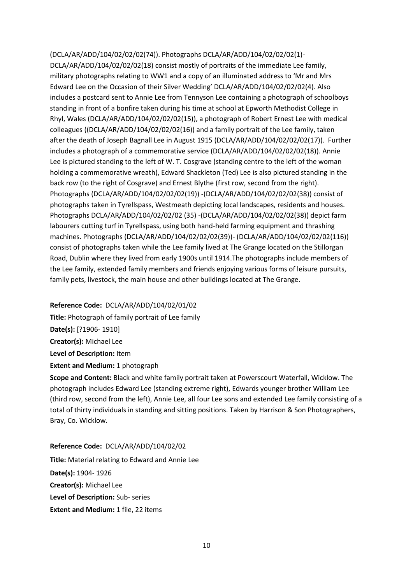(DCLA/AR/ADD/104/02/02/02(74)). Photographs DCLA/AR/ADD/104/02/02/02(1)- DCLA/AR/ADD/104/02/02/02(18) consist mostly of portraits of the immediate Lee family, military photographs relating to WW1 and a copy of an illuminated address to 'Mr and Mrs Edward Lee on the Occasion of their Silver Wedding' DCLA/AR/ADD/104/02/02/02(4). Also includes a postcard sent to Annie Lee from Tennyson Lee containing a photograph of schoolboys standing in front of a bonfire taken during his time at school at Epworth Methodist College in Rhyl, Wales (DCLA/AR/ADD/104/02/02/02(15)), a photograph of Robert Ernest Lee with medical colleagues ((DCLA/AR/ADD/104/02/02/02(16)) and a family portrait of the Lee family, taken after the death of Joseph Bagnall Lee in August 1915 (DCLA/AR/ADD/104/02/02/02(17)). Further includes a photograph of a commemorative service (DCLA/AR/ADD/104/02/02/02(18)). Annie Lee is pictured standing to the left of W. T. Cosgrave (standing centre to the left of the woman holding a commemorative wreath), Edward Shackleton (Ted) Lee is also pictured standing in the back row (to the right of Cosgrave) and Ernest Blythe (first row, second from the right). Photographs (DCLA/AR/ADD/104/02/02/02(19)) -(DCLA/AR/ADD/104/02/02/02(38)) consist of photographs taken in Tyrellspass, Westmeath depicting local landscapes, residents and houses. Photographs DCLA/AR/ADD/104/02/02/02 (35) -(DCLA/AR/ADD/104/02/02/02(38)) depict farm labourers cutting turf in Tyrellspass, using both hand-held farming equipment and thrashing machines. Photographs (DCLA/AR/ADD/104/02/02/02(39))- (DCLA/AR/ADD/104/02/02/02(116)) consist of photographs taken while the Lee family lived at The Grange located on the Stillorgan Road, Dublin where they lived from early 1900s until 1914.The photographs include members of the Lee family, extended family members and friends enjoying various forms of leisure pursuits, family pets, livestock, the main house and other buildings located at The Grange.

#### **Reference Code:** DCLA/AR/ADD/104/02/01/02

**Title:** Photograph of family portrait of Lee family **Date(s):** [?1906- 1910] **Creator(s):** Michael Lee **Level of Description:** Item **Extent and Medium:** 1 photograph

**Scope and Content:** Black and white family portrait taken at Powerscourt Waterfall, Wicklow. The photograph includes Edward Lee (standing extreme right), Edwards younger brother William Lee (third row, second from the left), Annie Lee, all four Lee sons and extended Lee family consisting of a total of thirty individuals in standing and sitting positions. Taken by Harrison & Son Photographers, Bray, Co. Wicklow.

#### **Reference Code:** DCLA/AR/ADD/104/02/02

**Title:** Material relating to Edward and Annie Lee **Date(s):** 1904- 1926 **Creator(s):** Michael Lee **Level of Description:** Sub- series **Extent and Medium:** 1 file, 22 items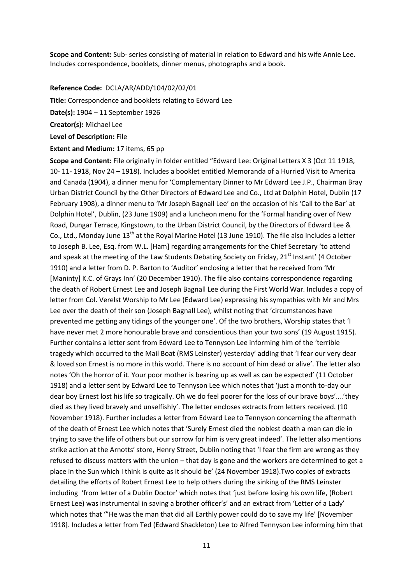**Scope and Content:** Sub- series consisting of material in relation to Edward and his wife Annie Lee**.**  Includes correspondence, booklets, dinner menus, photographs and a book.

**Reference Code:** DCLA/AR/ADD/104/02/02/01

**Title:** Correspondence and booklets relating to Edward Lee

**Date(s):** 1904 – 11 September 1926

**Creator(s):** Michael Lee

**Level of Description:** File

#### **Extent and Medium:** 17 items, 65 pp

**Scope and Content:** File originally in folder entitled "Edward Lee: Original Letters X 3 (Oct 11 1918, 10- 11- 1918, Nov 24 – 1918). Includes a booklet entitled Memoranda of a Hurried Visit to America and Canada (1904), a dinner menu for 'Complementary Dinner to Mr Edward Lee J.P., Chairman Bray Urban District Council by the Other Directors of Edward Lee and Co., Ltd at Dolphin Hotel, Dublin (17 February 1908), a dinner menu to 'Mr Joseph Bagnall Lee' on the occasion of his 'Call to the Bar' at Dolphin Hotel', Dublin, (23 June 1909) and a luncheon menu for the 'Formal handing over of New Road, Dungar Terrace, Kingstown, to the Urban District Council, by the Directors of Edward Lee & Co., Ltd., Monday June 13<sup>th</sup> at the Royal Marine Hotel (13 June 1910). The file also includes a letter to Joseph B. Lee, Esq. from W.L. [Ham] regarding arrangements for the Chief Secretary 'to attend and speak at the meeting of the Law Students Debating Society on Friday, 21<sup>st</sup> Instant' (4 October 1910) and a letter from D. P. Barton to 'Auditor' enclosing a letter that he received from 'Mr [Maninty] K.C. of Grays Inn' (20 December 1910). The file also contains correspondence regarding the death of Robert Ernest Lee and Joseph Bagnall Lee during the First World War. Includes a copy of letter from Col. Verelst Worship to Mr Lee (Edward Lee) expressing his sympathies with Mr and Mrs Lee over the death of their son (Joseph Bagnall Lee), whilst noting that 'circumstances have prevented me getting any tidings of the younger one'. Of the two brothers, Worship states that 'I have never met 2 more honourable brave and conscientious than your two sons' (19 August 1915). Further contains a letter sent from Edward Lee to Tennyson Lee informing him of the 'terrible tragedy which occurred to the Mail Boat (RMS Leinster) yesterday' adding that 'I fear our very dear & loved son Ernest is no more in this world. There is no account of him dead or alive'. The letter also notes 'Oh the horror of it. Your poor mother is bearing up as well as can be expected' (11 October 1918) and a letter sent by Edward Lee to Tennyson Lee which notes that 'just a month to-day our dear boy Ernest lost his life so tragically. Oh we do feel poorer for the loss of our brave boys'….'they died as they lived bravely and unselfishly'. The letter encloses extracts from letters received. (10 November 1918). Further includes a letter from Edward Lee to Tennyson concerning the aftermath of the death of Ernest Lee which notes that 'Surely Ernest died the noblest death a man can die in trying to save the life of others but our sorrow for him is very great indeed'. The letter also mentions strike action at the Arnotts' store, Henry Street, Dublin noting that 'I fear the firm are wrong as they refused to discuss matters with the union – that day is gone and the workers are determined to get a place in the Sun which I think is quite as it should be' (24 November 1918).Two copies of extracts detailing the efforts of Robert Ernest Lee to help others during the sinking of the RMS Leinster including 'from letter of a Dublin Doctor' which notes that 'just before losing his own life, (Robert Ernest Lee) was instrumental in saving a brother officer's' and an extract from 'Letter of a Lady' which notes that '"He was the man that did all Earthly power could do to save my life' [November 1918]. Includes a letter from Ted (Edward Shackleton) Lee to Alfred Tennyson Lee informing him that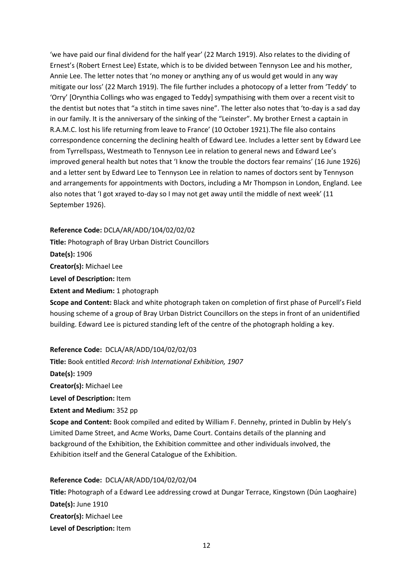'we have paid our final dividend for the half year' (22 March 1919). Also relates to the dividing of Ernest's (Robert Ernest Lee) Estate, which is to be divided between Tennyson Lee and his mother, Annie Lee. The letter notes that 'no money or anything any of us would get would in any way mitigate our loss' (22 March 1919). The file further includes a photocopy of a letter from 'Teddy' to 'Orry' [Orynthia Collings who was engaged to Teddy] sympathising with them over a recent visit to the dentist but notes that "a stitch in time saves nine". The letter also notes that 'to-day is a sad day in our family. It is the anniversary of the sinking of the "Leinster". My brother Ernest a captain in R.A.M.C. lost his life returning from leave to France' (10 October 1921).The file also contains correspondence concerning the declining health of Edward Lee. Includes a letter sent by Edward Lee from Tyrrellspass, Westmeath to Tennyson Lee in relation to general news and Edward Lee's improved general health but notes that 'I know the trouble the doctors fear remains' (16 June 1926) and a letter sent by Edward Lee to Tennyson Lee in relation to names of doctors sent by Tennyson and arrangements for appointments with Doctors, including a Mr Thompson in London, England. Lee also notes that 'I got xrayed to-day so I may not get away until the middle of next week' (11 September 1926).

#### **Reference Code:** DCLA/AR/ADD/104/02/02/02

**Title:** Photograph of Bray Urban District Councillors

**Date(s):** 1906

**Creator(s):** Michael Lee

**Level of Description:** Item

**Extent and Medium:** 1 photograph

**Scope and Content:** Black and white photograph taken on completion of first phase of Purcell's Field housing scheme of a group of Bray Urban District Councillors on the steps in front of an unidentified building. Edward Lee is pictured standing left of the centre of the photograph holding a key.

#### **Reference Code:** DCLA/AR/ADD/104/02/02/03

**Title:** Book entitled *Record: Irish International Exhibition, 1907* **Date(s):** 1909

**Creator(s):** Michael Lee

**Level of Description:** Item

**Extent and Medium:** 352 pp

**Scope and Content:** Book compiled and edited by William F. Dennehy, printed in Dublin by Hely's Limited Dame Street, and Acme Works, Dame Court. Contains details of the planning and background of the Exhibition, the Exhibition committee and other individuals involved, the Exhibition itself and the General Catalogue of the Exhibition.

#### **Reference Code:** DCLA/AR/ADD/104/02/02/04

**Title:** Photograph of a Edward Lee addressing crowd at Dungar Terrace, Kingstown (Dún Laoghaire) **Date(s):** June 1910 **Creator(s):** Michael Lee **Level of Description:** Item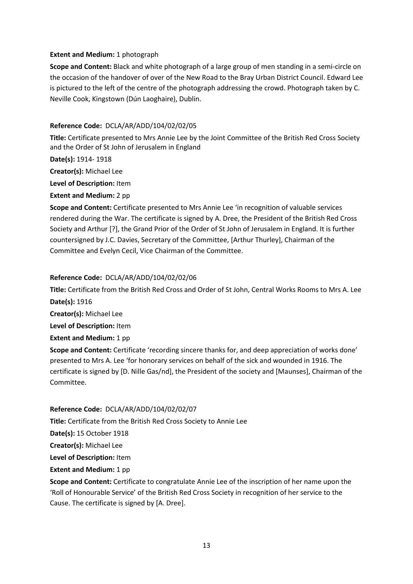#### **Extent and Medium:** 1 photograph

**Scope and Content:** Black and white photograph of a large group of men standing in a semi-circle on the occasion of the handover of over of the New Road to the Bray Urban District Council. Edward Lee is pictured to the left of the centre of the photograph addressing the crowd. Photograph taken by C. Neville Cook, Kingstown (Dún Laoghaire), Dublin.

#### **Reference Code:** DCLA/AR/ADD/104/02/02/05

**Title:** Certificate presented to Mrs Annie Lee by the Joint Committee of the British Red Cross Society and the Order of St John of Jerusalem in England

**Date(s):** 1914- 1918

**Creator(s):** Michael Lee

**Level of Description:** Item

**Extent and Medium:** 2 pp

**Scope and Content:** Certificate presented to Mrs Annie Lee 'in recognition of valuable services rendered during the War. The certificate is signed by A. Dree, the President of the British Red Cross Society and Arthur [?], the Grand Prior of the Order of St John of Jerusalem in England. It is further countersigned by J.C. Davies, Secretary of the Committee, [Arthur Thurley], Chairman of the Committee and Evelyn Cecil, Vice Chairman of the Committee.

#### **Reference Code:** DCLA/AR/ADD/104/02/02/06

**Title:** Certificate from the British Red Cross and Order of St John, Central Works Rooms to Mrs A. Lee **Date(s):** 1916

**Creator(s):** Michael Lee

**Level of Description:** Item

**Extent and Medium:** 1 pp

**Scope and Content:** Certificate 'recording sincere thanks for, and deep appreciation of works done' presented to Mrs A. Lee 'for honorary services on behalf of the sick and wounded in 1916. The certificate is signed by [D. Nille Gas/nd], the President of the society and [Maunses], Chairman of the Committee.

#### **Reference Code:** DCLA/AR/ADD/104/02/02/07

**Title:** Certificate from the British Red Cross Society to Annie Lee

**Date(s):** 15 October 1918

**Creator(s):** Michael Lee

**Level of Description:** Item

**Extent and Medium: 1 pp** 

**Scope and Content:** Certificate to congratulate Annie Lee of the inscription of her name upon the 'Roll of Honourable Service' of the British Red Cross Society in recognition of her service to the Cause. The certificate is signed by [A. Dree].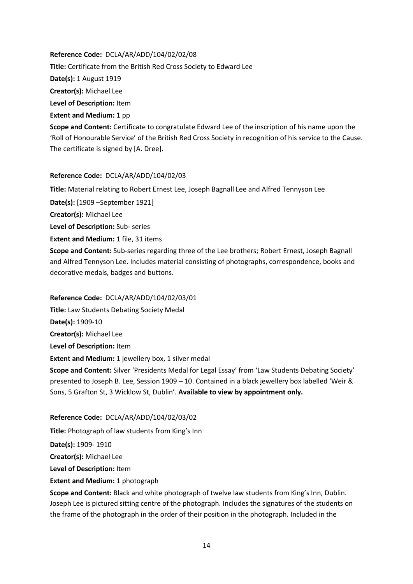**Reference Code:** DCLA/AR/ADD/104/02/02/08 **Title:** Certificate from the British Red Cross Society to Edward Lee **Date(s):** 1 August 1919 **Creator(s):** Michael Lee **Level of Description:** Item **Extent and Medium: 1 pp Scope and Content:** Certificate to congratulate Edward Lee of the inscription of his name upon the

'Roll of Honourable Service' of the British Red Cross Society in recognition of his service to the Cause. The certificate is signed by [A. Dree].

#### **Reference Code:** DCLA/AR/ADD/104/02/03

**Title:** Material relating to Robert Ernest Lee, Joseph Bagnall Lee and Alfred Tennyson Lee

**Date(s):** [1909 –September 1921]

**Creator(s):** Michael Lee

**Level of Description:** Sub- series

**Extent and Medium: 1 file, 31 items** 

**Scope and Content:** Sub-series regarding three of the Lee brothers; Robert Ernest, Joseph Bagnall and Alfred Tennyson Lee. Includes material consisting of photographs, correspondence, books and decorative medals, badges and buttons.

**Reference Code:** DCLA/AR/ADD/104/02/03/01

**Title:** Law Students Debating Society Medal

**Date(s):** 1909-10

**Creator(s):** Michael Lee

**Level of Description:** Item

**Extent and Medium:** 1 jewellery box, 1 silver medal

**Scope and Content:** Silver 'Presidents Medal for Legal Essay' from 'Law Students Debating Society' presented to Joseph B. Lee, Session 1909 – 10. Contained in a black jewellery box labelled 'Weir & Sons, 5 Grafton St, 3 Wicklow St, Dublin'. **Available to view by appointment only.**

#### **Reference Code:** DCLA/AR/ADD/104/02/03/02

**Title:** Photograph of law students from King's Inn

**Date(s):** 1909- 1910

**Creator(s):** Michael Lee

**Level of Description:** Item

**Extent and Medium: 1 photograph** 

**Scope and Content:** Black and white photograph of twelve law students from King's Inn, Dublin. Joseph Lee is pictured sitting centre of the photograph. Includes the signatures of the students on the frame of the photograph in the order of their position in the photograph. Included in the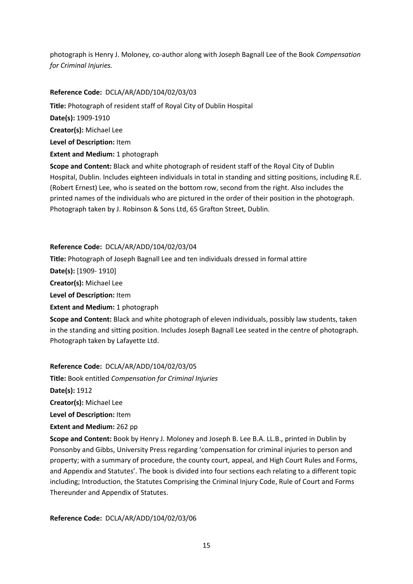photograph is Henry J. Moloney, co-author along with Joseph Bagnall Lee of the Book *Compensation for Criminal Injuries.* 

#### **Reference Code:** DCLA/AR/ADD/104/02/03/03

**Title:** Photograph of resident staff of Royal City of Dublin Hospital

**Date(s):** 1909-1910

**Creator(s):** Michael Lee

**Level of Description:** Item

**Extent and Medium:** 1 photograph

**Scope and Content:** Black and white photograph of resident staff of the Royal City of Dublin Hospital, Dublin. Includes eighteen individuals in total in standing and sitting positions, including R.E. (Robert Ernest) Lee, who is seated on the bottom row, second from the right. Also includes the printed names of the individuals who are pictured in the order of their position in the photograph. Photograph taken by J. Robinson & Sons Ltd, 65 Grafton Street, Dublin.

#### **Reference Code:** DCLA/AR/ADD/104/02/03/04

**Title:** Photograph of Joseph Bagnall Lee and ten individuals dressed in formal attire

**Date(s):** [1909- 1910]

**Creator(s):** Michael Lee

**Level of Description:** Item

**Extent and Medium:** 1 photograph

**Scope and Content:** Black and white photograph of eleven individuals, possibly law students, taken in the standing and sitting position. Includes Joseph Bagnall Lee seated in the centre of photograph. Photograph taken by Lafayette Ltd.

#### **Reference Code:** DCLA/AR/ADD/104/02/03/05

**Title:** Book entitled *Compensation for Criminal Injuries*

**Date(s):** 1912

**Creator(s):** Michael Lee

**Level of Description:** Item

**Extent and Medium:** 262 pp

**Scope and Content:** Book by Henry J. Moloney and Joseph B. Lee B.A. LL.B., printed in Dublin by Ponsonby and Gibbs, University Press regarding 'compensation for criminal injuries to person and property; with a summary of procedure, the county court, appeal, and High Court Rules and Forms, and Appendix and Statutes'. The book is divided into four sections each relating to a different topic including; Introduction, the Statutes Comprising the Criminal Injury Code, Rule of Court and Forms Thereunder and Appendix of Statutes.

**Reference Code:** DCLA/AR/ADD/104/02/03/06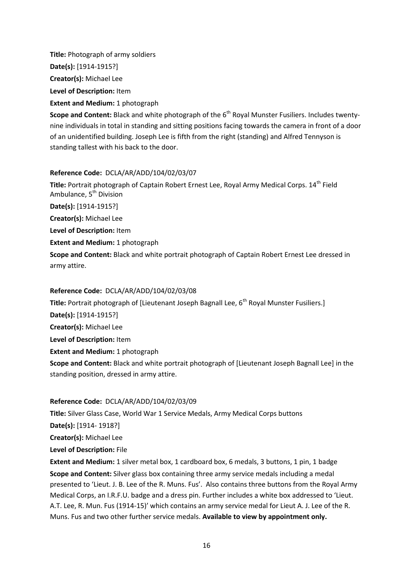**Title:** Photograph of army soldiers **Date(s):** [1914-1915?] **Creator(s):** Michael Lee **Level of Description:** Item

**Extent and Medium:** 1 photograph

**Scope and Content:** Black and white photograph of the 6<sup>th</sup> Royal Munster Fusiliers. Includes twentynine individuals in total in standing and sitting positions facing towards the camera in front of a door of an unidentified building. Joseph Lee is fifth from the right (standing) and Alfred Tennyson is standing tallest with his back to the door.

#### **Reference Code:** DCLA/AR/ADD/104/02/03/07

**Title:** Portrait photograph of Captain Robert Ernest Lee, Royal Army Medical Corps. 14th Field Ambulance, 5<sup>th</sup> Division **Date(s):** [1914-1915?] **Creator(s):** Michael Lee **Level of Description:** Item

**Extent and Medium:** 1 photograph

**Scope and Content:** Black and white portrait photograph of Captain Robert Ernest Lee dressed in army attire.

#### **Reference Code:** DCLA/AR/ADD/104/02/03/08

**Title:** Portrait photograph of [Lieutenant Joseph Bagnall Lee, 6<sup>th</sup> Royal Munster Fusiliers.] **Date(s):** [1914-1915?] **Creator(s):** Michael Lee **Level of Description:** Item **Extent and Medium: 1 photograph Scope and Content:** Black and white portrait photograph of [Lieutenant Joseph Bagnall Lee] in the standing position, dressed in army attire.

#### **Reference Code:** DCLA/AR/ADD/104/02/03/09

**Title:** Silver Glass Case, World War 1 Service Medals, Army Medical Corps buttons

**Date(s):** [1914- 1918?]

**Creator(s):** Michael Lee

**Level of Description:** File

**Extent and Medium:** 1 silver metal box, 1 cardboard box, 6 medals, 3 buttons, 1 pin, 1 badge **Scope and Content:** Silver glass box containing three army service medals including a medal presented to 'Lieut. J. B. Lee of the R. Muns. Fus'. Also contains three buttons from the Royal Army Medical Corps, an I.R.F.U. badge and a dress pin. Further includes a white box addressed to 'Lieut. A.T. Lee, R. Mun. Fus (1914-15)' which contains an army service medal for Lieut A. J. Lee of the R. Muns. Fus and two other further service medals. **Available to view by appointment only.**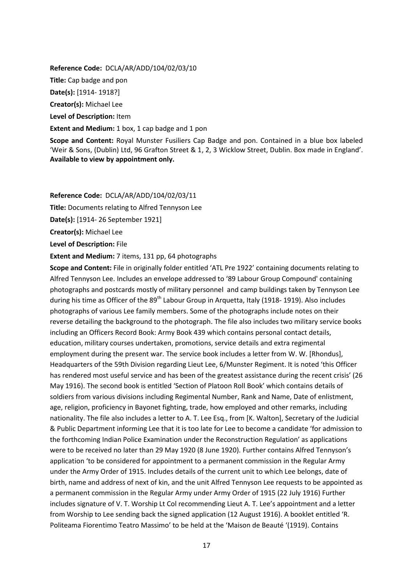**Reference Code:** DCLA/AR/ADD/104/02/03/10

**Title:** Cap badge and pon

**Date(s):** [1914- 1918?]

**Creator(s):** Michael Lee

**Level of Description:** Item

**Extent and Medium:** 1 box, 1 cap badge and 1 pon

**Scope and Content:** Royal Munster Fusiliers Cap Badge and pon. Contained in a blue box labeled 'Weir & Sons, (Dublin) Ltd, 96 Grafton Street & 1, 2, 3 Wicklow Street, Dublin. Box made in England'. **Available to view by appointment only.** 

#### **Reference Code:** DCLA/AR/ADD/104/02/03/11

**Title:** Documents relating to Alfred Tennyson Lee

**Date(s):** [1914- 26 September 1921]

**Creator(s):** Michael Lee

**Level of Description:** File

**Extent and Medium:** 7 items, 131 pp, 64 photographs

**Scope and Content:** File in originally folder entitled 'ATL Pre 1922' containing documents relating to Alfred Tennyson Lee. Includes an envelope addressed to '89 Labour Group Compound' containing photographs and postcards mostly of military personnel and camp buildings taken by Tennyson Lee during his time as Officer of the 89<sup>th</sup> Labour Group in Arquetta, Italy (1918-1919). Also includes photographs of various Lee family members. Some of the photographs include notes on their reverse detailing the background to the photograph. The file also includes two military service books including an Officers Record Book: Army Book 439 which contains personal contact details, education, military courses undertaken, promotions, service details and extra regimental employment during the present war. The service book includes a letter from W. W. [Rhondus], Headquarters of the 59th Division regarding Lieut Lee, 6/Munster Regiment. It is noted 'this Officer has rendered most useful service and has been of the greatest assistance during the recent crisis' (26 May 1916). The second book is entitled 'Section of Platoon Roll Book' which contains details of soldiers from various divisions including Regimental Number, Rank and Name, Date of enlistment, age, religion, proficiency in Bayonet fighting, trade, how employed and other remarks, including nationality. The file also includes a letter to A. T. Lee Esq., from [K. Walton], Secretary of the Judicial & Public Department informing Lee that it is too late for Lee to become a candidate 'for admission to the forthcoming Indian Police Examination under the Reconstruction Regulation' as applications were to be received no later than 29 May 1920 (8 June 1920). Further contains Alfred Tennyson's application 'to be considered for appointment to a permanent commission in the Regular Army under the Army Order of 1915. Includes details of the current unit to which Lee belongs, date of birth, name and address of next of kin, and the unit Alfred Tennyson Lee requests to be appointed as a permanent commission in the Regular Army under Army Order of 1915 (22 July 1916) Further includes signature of V. T. Worship Lt Col recommending Lieut A. T. Lee's appointment and a letter from Worship to Lee sending back the signed application (12 August 1916). A booklet entitled 'R. Politeama Fiorentimo Teatro Massimo' to be held at the 'Maison de Beauté '(1919). Contains